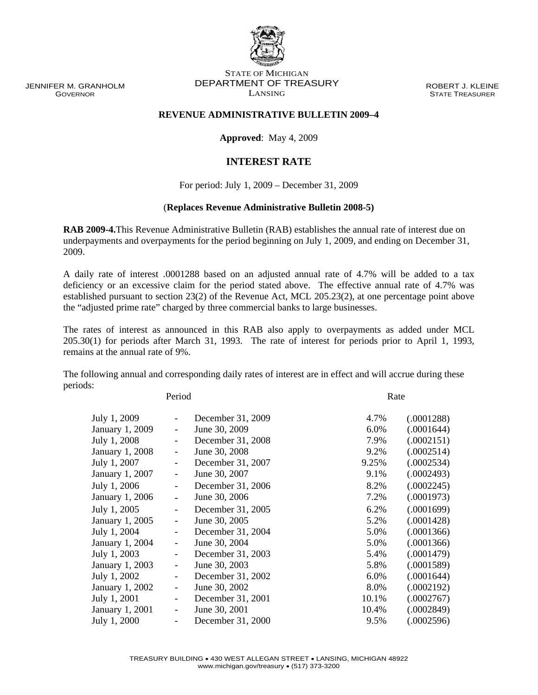JENNIFER M. GRANHOLM GOVERNOR

## STATE OF MICHIGAN DEPARTMENT OF TREASURY LANSING

ROBERT J. KLEINE STATE TREASURER

## **REVENUE ADMINISTRATIVE BULLETIN 2009–4**

**Approved**: May 4, 2009

## **INTEREST RATE**

For period: July 1, 2009 – December 31, 2009

## (**Replaces Revenue Administrative Bulletin 2008-5)**

**RAB 2009-4.**This Revenue Administrative Bulletin (RAB) establishes the annual rate of interest due on underpayments and overpayments for the period beginning on July 1, 2009, and ending on December 31, 2009.

A daily rate of interest .0001288 based on an adjusted annual rate of 4.7% will be added to a tax deficiency or an excessive claim for the period stated above. The effective annual rate of 4.7% was established pursuant to section 23(2) of the Revenue Act, MCL 205.23(2), at one percentage point above the "adjusted prime rate" charged by three commercial banks to large businesses.

The rates of interest as announced in this RAB also apply to overpayments as added under MCL 205.30(1) for periods after March 31, 1993. The rate of interest for periods prior to April 1, 1993, remains at the annual rate of 9%.

The following annual and corresponding daily rates of interest are in effect and will accrue during these periods:

Period Rate

| July 1, 2009    |                          | December 31, 2009 | 4.7%  | (.0001288) |
|-----------------|--------------------------|-------------------|-------|------------|
| January 1, 2009 | $\overline{\phantom{0}}$ | June 30, 2009     | 6.0%  | (.0001644) |
| July 1, 2008    | $\overline{\phantom{a}}$ | December 31, 2008 | 7.9%  | (.0002151) |
| January 1, 2008 | $\overline{\phantom{a}}$ | June 30, 2008     | 9.2%  | (.0002514) |
| July 1, 2007    | $\overline{\phantom{a}}$ | December 31, 2007 | 9.25% | (.0002534) |
| January 1, 2007 | $\overline{\phantom{0}}$ | June 30, 2007     | 9.1%  | (.0002493) |
| July 1, 2006    |                          | December 31, 2006 | 8.2%  | (.0002245) |
| January 1, 2006 |                          | June 30, 2006     | 7.2%  | (.0001973) |
| July 1, 2005    |                          | December 31, 2005 | 6.2%  | (.0001699) |
| January 1, 2005 | $\overline{\phantom{0}}$ | June 30, 2005     | 5.2%  | (.0001428) |
| July 1, 2004    |                          | December 31, 2004 | 5.0%  | (.0001366) |
| January 1, 2004 | $\overline{\phantom{0}}$ | June 30, 2004     | 5.0%  | (.0001366) |
| July 1, 2003    |                          | December 31, 2003 | 5.4%  | (.0001479) |
| January 1, 2003 | $\overline{\phantom{0}}$ | June 30, 2003     | 5.8%  | (.0001589) |
| July 1, 2002    | $\overline{\phantom{0}}$ | December 31, 2002 | 6.0%  | (.0001644) |
| January 1, 2002 | $\overline{\phantom{0}}$ | June 30, 2002     | 8.0%  | (.0002192) |
| July 1, 2001    | $\overline{\phantom{0}}$ | December 31, 2001 | 10.1% | (.0002767) |
| January 1, 2001 |                          | June 30, 2001     | 10.4% | (.0002849) |
| July 1, 2000    | $\overline{\phantom{0}}$ | December 31, 2000 | 9.5%  | (.0002596) |